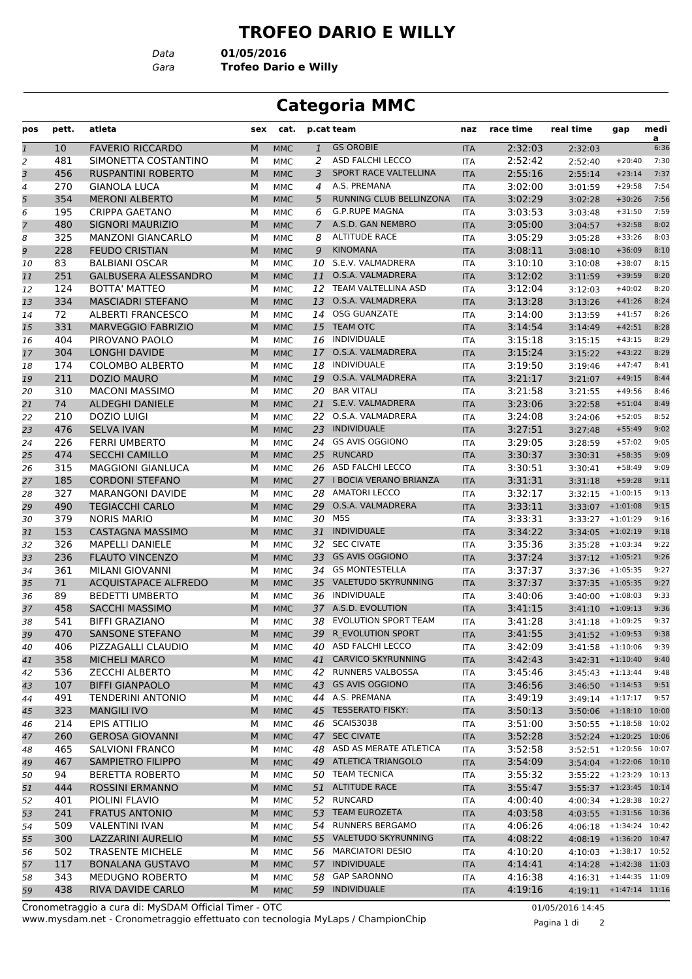## **TROFEO DARIO E WILLY**

*Data* **01/05/2016**

*Gara* **Trofeo Dario e Willy**

## **Categoria MMC**

| pos          | pett. | atleta                      | sex | cat.       |                | p.cat team                | naz        | race time | real time | gap                        | medi                   |
|--------------|-------|-----------------------------|-----|------------|----------------|---------------------------|------------|-----------|-----------|----------------------------|------------------------|
| $\mathbf{1}$ | 10    | <b>FAVERIO RICCARDO</b>     | M   | <b>MMC</b> | $\mathbf{1}$   | <b>GS OROBIE</b>          | <b>ITA</b> | 2:32:03   | 2:32:03   |                            | $\overline{a}$<br>6:36 |
| 2            | 481   | SIMONETTA COSTANTINO        | М   | MMC        | 2              | <b>ASD FALCHI LECCO</b>   | <b>ITA</b> | 2:52:42   | 2:52:40   | $+20:40$                   | 7:30                   |
| 3            | 456   | <b>RUSPANTINI ROBERTO</b>   | M   | <b>MMC</b> | 3              | SPORT RACE VALTELLINA     | <b>ITA</b> | 2:55:16   | 2:55:14   | $+23:14$                   | 7:37                   |
| 4            | 270   | <b>GIANOLA LUCA</b>         | М   | MMC        | 4              | A.S. PREMANA              | <b>ITA</b> | 3:02:00   | 3:01:59   | $+29:58$                   | 7:54                   |
| 5            | 354   | <b>MERONI ALBERTO</b>       | M   | <b>MMC</b> | 5              | RUNNING CLUB BELLINZONA   | <b>ITA</b> | 3:02:29   | 3:02:28   | $+30:26$                   | 7:56                   |
| 6            | 195   | <b>CRIPPA GAETANO</b>       | м   | MMC        | 6              | <b>G.P.RUPE MAGNA</b>     | <b>ITA</b> | 3:03:53   | 3:03:48   | $+31:50$                   | 7:59                   |
| 7            | 480   | SIGNORI MAURIZIO            | M   | <b>MMC</b> | $\overline{7}$ | A.S.D. GAN NEMBRO         | <b>ITA</b> | 3:05:00   | 3:04:57   | $+32:58$                   | 8:02                   |
| 8            | 325   | <b>MANZONI GIANCARLO</b>    | М   | MMC        | 8              | <b>ALTITUDE RACE</b>      | <b>ITA</b> | 3:05:29   | 3:05:28   | $+33:26$                   | 8:03                   |
| 9            | 228   | <b>FEUDO CRISTIAN</b>       | M   | <b>MMC</b> | 9              | <b>KINOMANA</b>           | <b>ITA</b> | 3:08:11   | 3:08:10   | $+36:09$                   | 8:10                   |
| 10           | 83    | <b>BALBIANI OSCAR</b>       | М   | MMC        |                | 10 S.E.V. VALMADRERA      | <b>ITA</b> | 3:10:10   | 3:10:08   | $+38:07$                   | 8:15                   |
| 11           | 251   | <b>GALBUSERA ALESSANDRO</b> | M   | <b>MMC</b> | 11             | O.S.A. VALMADRERA         | <b>ITA</b> | 3:12:02   | 3:11:59   | $+39:59$                   | 8:20                   |
| 12           | 124   | <b>BOTTA' MATTEO</b>        | м   | MMC        | 12             | TEAM VALTELLINA ASD       | <b>ITA</b> | 3:12:04   | 3:12:03   | $+40:02$                   | 8:20                   |
| 13           | 334   | <b>MASCIADRI STEFANO</b>    | M   | <b>MMC</b> | 13             | O.S.A. VALMADRERA         | <b>ITA</b> | 3:13:28   | 3:13:26   | $+41:26$                   | 8:24                   |
| 14           | 72    | <b>ALBERTI FRANCESCO</b>    | М   | <b>MMC</b> | 14             | <b>OSG GUANZATE</b>       | <b>ITA</b> | 3:14:00   | 3:13:59   | $+41:57$                   | 8:26                   |
| 15           | 331   | <b>MARVEGGIO FABRIZIO</b>   | M   | <b>MMC</b> | 15             | <b>TEAM OTC</b>           | <b>ITA</b> | 3:14:54   | 3:14:49   | $+42:51$                   | 8:28                   |
| 16           | 404   | PIROVANO PAOLO              | М   | MMC        | 16             | <b>INDIVIDUALE</b>        | <b>ITA</b> | 3:15:18   | 3:15:15   | $+43:15$                   | 8:29                   |
| 17           | 304   | <b>LONGHI DAVIDE</b>        | M   | <b>MMC</b> | 17             | O.S.A. VALMADRERA         | <b>ITA</b> | 3:15:24   | 3:15:22   | $+43:22$                   | 8:29                   |
| 18           | 174   | <b>COLOMBO ALBERTO</b>      | М   | MMC        | 18             | INDIVIDUALE               | <b>ITA</b> | 3:19:50   | 3:19:46   | $+47:47$                   | 8:41                   |
| 19           | 211   | DOZIO MAURO                 | M   | <b>MMC</b> | 19             | O.S.A. VALMADRERA         | <b>ITA</b> | 3:21:17   | 3:21:07   | $+49:15$                   | 8:44                   |
| 20           | 310   | <b>MACONI MASSIMO</b>       | М   | <b>MMC</b> | 20             | <b>BAR VITALI</b>         | <b>ITA</b> | 3:21:58   | 3:21:55   | $+49:56$                   | 8:46                   |
| 21           | 74    | <b>ALDEGHI DANIELE</b>      | M   | <b>MMC</b> |                | 21 S.E.V. VALMADRERA      | <b>ITA</b> | 3:23:06   | 3:22:58   | $+51:04$                   | 8:49                   |
| 22           | 210   | <b>DOZIO LUIGI</b>          | М   | MMC        | 22             | O.S.A. VALMADRERA         | <b>ITA</b> | 3:24:08   | 3:24:06   | $+52:05$                   | 8:52                   |
| 23           | 476   | <b>SELVA IVAN</b>           | M   | <b>MMC</b> | 23             | <b>INDIVIDUALE</b>        | <b>ITA</b> | 3:27:51   | 3:27:48   | $+55:49$                   | 9:02                   |
| 24           | 226   | <b>FERRI UMBERTO</b>        | м   | MMC        | 24             | <b>GS AVIS OGGIONO</b>    | <b>ITA</b> | 3:29:05   | 3:28:59   | $+57:02$                   | 9:05                   |
| 25           | 474   | <b>SECCHI CAMILLO</b>       | M   | <b>MMC</b> | 25             | <b>RUNCARD</b>            | <b>ITA</b> | 3:30:37   | 3:30:31   | $+58:35$                   | 9:09                   |
| 26           | 315   | <b>MAGGIONI GIANLUCA</b>    | М   | <b>MMC</b> |                | 26 ASD FALCHI LECCO       | <b>ITA</b> | 3:30:51   | 3:30:41   | $+58:49$                   | 9:09                   |
| 27           | 185   | <b>CORDONI STEFANO</b>      | M   | <b>MMC</b> |                | 27 I BOCIA VERANO BRIANZA | <b>ITA</b> | 3:31:31   | 3:31:18   | $+59:28$                   | 9:11                   |
| 28           | 327   | <b>MARANGONI DAVIDE</b>     | М   | MMC        | 28             | <b>AMATORI LECCO</b>      | <b>ITA</b> | 3:32:17   | 3:32:15   | $+1:00:15$                 | 9:13                   |
| 29           | 490   | <b>TEGIACCHI CARLO</b>      | M   | <b>MMC</b> | 29             | O.S.A. VALMADRERA         | <b>ITA</b> | 3:33:11   | 3:33:07   | $+1:01:08$                 | 9:15                   |
| 30           | 379   | <b>NORIS MARIO</b>          | м   | MMC        | 30             | M5S                       | <b>ITA</b> | 3:33:31   | 3:33:27   | $+1:01:29$                 | 9:16                   |
| 31           | 153   | <b>CASTAGNA MASSIMO</b>     | M   | <b>MMC</b> |                | 31 INDIVIDUALE            | <b>ITA</b> | 3:34:22   | 3:34:05   | $+1:02:19$                 | 9:18                   |
| 32           | 326   | <b>MAPELLI DANIELE</b>      | М   | <b>MMC</b> |                | 32 SEC CIVATE             | <b>ITA</b> | 3:35:36   | 3:35:28   | $+1:03:34$                 | 9:22                   |
| 33           | 236   | <b>FLAUTO VINCENZO</b>      | M   | <b>MMC</b> | 33             | <b>GS AVIS OGGIONO</b>    | <b>ITA</b> | 3:37:24   | 3:37:12   | $+1:05:21$                 | 9:26                   |
| 34           | 361   | MILANI GIOVANNI             | М   | MMC        |                | 34 GS MONTESTELLA         | <b>ITA</b> | 3:37:37   | 3:37:36   | $+1:05:35$                 | 9:27                   |
| 35           | 71    | <b>ACQUISTAPACE ALFREDO</b> | M   | <b>MMC</b> | 35             | VALETUDO SKYRUNNING       | <b>ITA</b> | 3:37:37   | 3:37:35   | $+1:05:35$                 | 9:27                   |
| 36           | 89    | <b>BEDETTI UMBERTO</b>      | М   | MMC        | 36             | INDIVIDUALE               | <b>ITA</b> | 3:40:06   | 3:40:00   | $+1:08:03$                 | 9:33                   |
| 37           | 458   | <b>SACCHI MASSIMO</b>       | M   | <b>MMC</b> |                | 37 A.S.D. EVOLUTION       | <b>ITA</b> | 3:41:15   | 3:41:10   | $+1:09:13$                 | 9:36                   |
| 38           | 541   | <b>BIFFI GRAZIANO</b>       | м   | <b>MMC</b> | 38             | EVOLUTION SPORT TEAM      | <b>ITA</b> | 3:41:28   | 3:41:18   | $+1:09:25$                 | 9:37                   |
| 39           | 470   | <b>SANSONE STEFANO</b>      | M   | <b>MMC</b> | 39             | R EVOLUTION SPORT         | <b>ITA</b> | 3:41:55   |           | $3:41:52 + 1:09:53$        | 9:38                   |
| 40           | 406   | PIZZAGALLI CLAUDIO          | м   | MMC        |                | 40 ASD FALCHI LECCO       | ITA        | 3:42:09   |           | $3:41:58$ +1:10:06         | 9:39                   |
| 41           | 358   | <b>MICHELI MARCO</b>        | M   | <b>MMC</b> |                | 41 CARVICO SKYRUNNING     | <b>ITA</b> | 3:42:43   |           | $3:42:31$ +1:10:40         | 9:40                   |
| 42           | 536   | <b>ZECCHI ALBERTO</b>       | м   | MMC        | 42             | RUNNERS VALBOSSA          | ITA        | 3:45:46   |           | $3:45:43 + 1:13:44$        | 9:48                   |
| 43           | 107   | <b>BIFFI GIANPAOLO</b>      | M   | <b>MMC</b> |                | 43 GS AVIS OGGIONO        | <b>ITA</b> | 3:46:56   |           | $3:46:50 + 1:14:53$        | 9:51                   |
| 44           | 491   | <b>TENDERINI ANTONIO</b>    | м   | MMC        |                | 44 A.S. PREMANA           | ITA        | 3:49:19   |           | $3:49:14$ +1:17:17         | 9:57                   |
| 45           | 323   | <b>MANGILI IVO</b>          | M   | <b>MMC</b> |                | 45 TESSERATO FISKY:       | <b>ITA</b> | 3:50:13   |           | 3:50:06 +1:18:10 10:00     |                        |
| 46           | 214   | <b>EPIS ATTILIO</b>         | М   | MMC        |                | 46 SCAIS3038              | ITA        | 3:51:00   |           | $3:50:55$ +1:18:58 10:02   |                        |
| 47           | 260   | <b>GEROSA GIOVANNI</b>      | М   | <b>MMC</b> |                | 47 SEC CIVATE             | <b>ITA</b> | 3:52:28   |           | 3:52:24 +1:20:25 10:06     |                        |
| 48           | 465   | SALVIONI FRANCO             | м   | MMC        |                | 48 ASD AS MERATE ATLETICA | ITA        | 3:52:58   |           | 3:52:51 +1:20:56 10:07     |                        |
| 49           | 467   | <b>SAMPIETRO FILIPPO</b>    | M   | <b>MMC</b> |                | 49 ATLETICA TRIANGOLO     | <b>ITA</b> | 3:54:09   |           | 3:54:04 +1:22:06 10:10     |                        |
| 50           | 94    | <b>BERETTA ROBERTO</b>      | м   | MMC        |                | 50 TEAM TECNICA           | ITA        | 3:55:32   |           | 3:55:22 +1:23:29 10:13     |                        |
| 51           | 444   | <b>ROSSINI ERMANNO</b>      | M   | <b>MMC</b> |                | 51 ALTITUDE RACE          | <b>ITA</b> | 3:55:47   |           | 3:55:37 +1:23:45 10:14     |                        |
| 52           | 401   | PIOLINI FLAVIO              | М   | MMC        |                | 52 RUNCARD                | ITA        | 4:00:40   |           | 4:00:34 +1:28:38 10:27     |                        |
| 53           | 241   | <b>FRATUS ANTONIO</b>       | M   | <b>MMC</b> |                | 53 TEAM EUROZETA          | <b>ITA</b> | 4:03:58   |           | 4:03:55 +1:31:56 10:36     |                        |
| 54           | 509   | <b>VALENTINI IVAN</b>       | м   | MMC        |                | 54 RUNNERS BERGAMO        | ITA        | 4:06:26   |           | 4:06:18 +1:34:24 10:42     |                        |
| 55           | 300   | LAZZARINI AURELIO           | M   | <b>MMC</b> |                | 55 VALETUDO SKYRUNNING    | <b>ITA</b> | 4:08:22   |           | 4:08:19 +1:36:20 10:47     |                        |
| 56           | 502   | <b>TRASENTE MICHELE</b>     | м   | MMC        |                | 56 MARCIATORI DESIO       | ITA        | 4:10:20   |           | 4:10:03 +1:38:17 10:52     |                        |
| 57           | 117   | <b>BONALANA GUSTAVO</b>     | M   | <b>MMC</b> |                | 57 INDIVIDUALE            | <b>ITA</b> | 4:14:41   |           | 4:14:28 +1:42:38 11:03     |                        |
| 58           | 343   | MEDUGNO ROBERTO             | М   | MMC        | 58             | <b>GAP SARONNO</b>        | ITA        | 4:16:38   |           | $4:16:31$ +1:44:35 11:09   |                        |
| 59           | 438   | RIVA DAVIDE CARLO           | M   | <b>MMC</b> |                | 59 INDIVIDUALE            | <b>ITA</b> | 4:19:16   |           | $4:19:11$ $+1:47:14$ 11:16 |                        |
|              |       |                             |     |            |                |                           |            |           |           |                            |                        |

www.mysdam.net - Cronometraggio effettuato con tecnologia MyLaps / ChampionChip Cronometraggio a cura di: MySDAM Official Timer - OTC 01/05/2016 14:45

Pagina 1 di 2